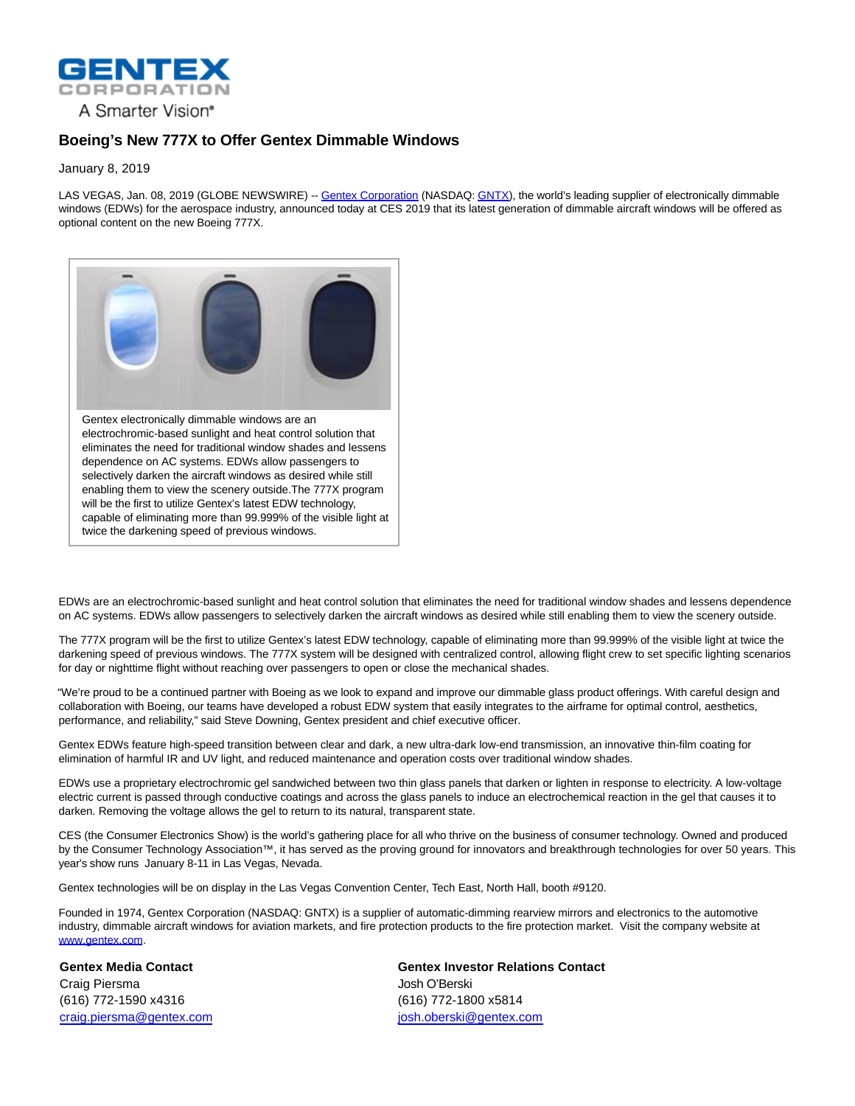

## **Boeing's New 777X to Offer Gentex Dimmable Windows**

January 8, 2019

LAS VEGAS, Jan. 08, 2019 (GLOBE NEWSWIRE) -[- Gentex Corporation \(](http://www.gentextech.com/)NASDAQ[: GNTX\),](http://www.nasdaq.com/symbol/gntx) the world's leading supplier of electronically dimmable windows (EDWs) for the aerospace industry, announced today at CES 2019 that its latest generation of dimmable aircraft windows will be offered as optional content on the new Boeing 777X.



EDWs are an electrochromic-based sunlight and heat control solution that eliminates the need for traditional window shades and lessens dependence on AC systems. EDWs allow passengers to selectively darken the aircraft windows as desired while still enabling them to view the scenery outside.

The 777X program will be the first to utilize Gentex's latest EDW technology, capable of eliminating more than 99.999% of the visible light at twice the darkening speed of previous windows. The 777X system will be designed with centralized control, allowing flight crew to set specific lighting scenarios for day or nighttime flight without reaching over passengers to open or close the mechanical shades.

"We're proud to be a continued partner with Boeing as we look to expand and improve our dimmable glass product offerings. With careful design and collaboration with Boeing, our teams have developed a robust EDW system that easily integrates to the airframe for optimal control, aesthetics, performance, and reliability," said Steve Downing, Gentex president and chief executive officer.

Gentex EDWs feature high-speed transition between clear and dark, a new ultra-dark low-end transmission, an innovative thin-film coating for elimination of harmful IR and UV light, and reduced maintenance and operation costs over traditional window shades.

EDWs use a proprietary electrochromic gel sandwiched between two thin glass panels that darken or lighten in response to electricity. A low-voltage electric current is passed through conductive coatings and across the glass panels to induce an electrochemical reaction in the gel that causes it to darken. Removing the voltage allows the gel to return to its natural, transparent state.

CES (the Consumer Electronics Show) is the world's gathering place for all who thrive on the business of consumer technology. Owned and produced by the Consumer Technology Association™, it has served as the proving ground for innovators and breakthrough technologies for over 50 years. This year's show runs January 8-11 in Las Vegas, Nevada.

Gentex technologies will be on display in the Las Vegas Convention Center, Tech East, North Hall, booth #9120.

Founded in 1974, Gentex Corporation (NASDAQ: GNTX) is a supplier of automatic-dimming rearview mirrors and electronics to the automotive industry, dimmable aircraft windows for aviation markets, and fire protection products to the fire protection market. Visit the company website at [www.gentex.com.](http://www.gentex.com/)

**Gentex Media Contact** Craig Piersma (616) 772-1590 x4316 [craig.piersma@gentex.com](mailto:craig.piersma@gentex.com) **Gentex Investor Relations Contact** Josh O'Berski (616) 772-1800 x5814 [josh.oberski@gentex.com](mailto:josh.oberski@gentex.com)